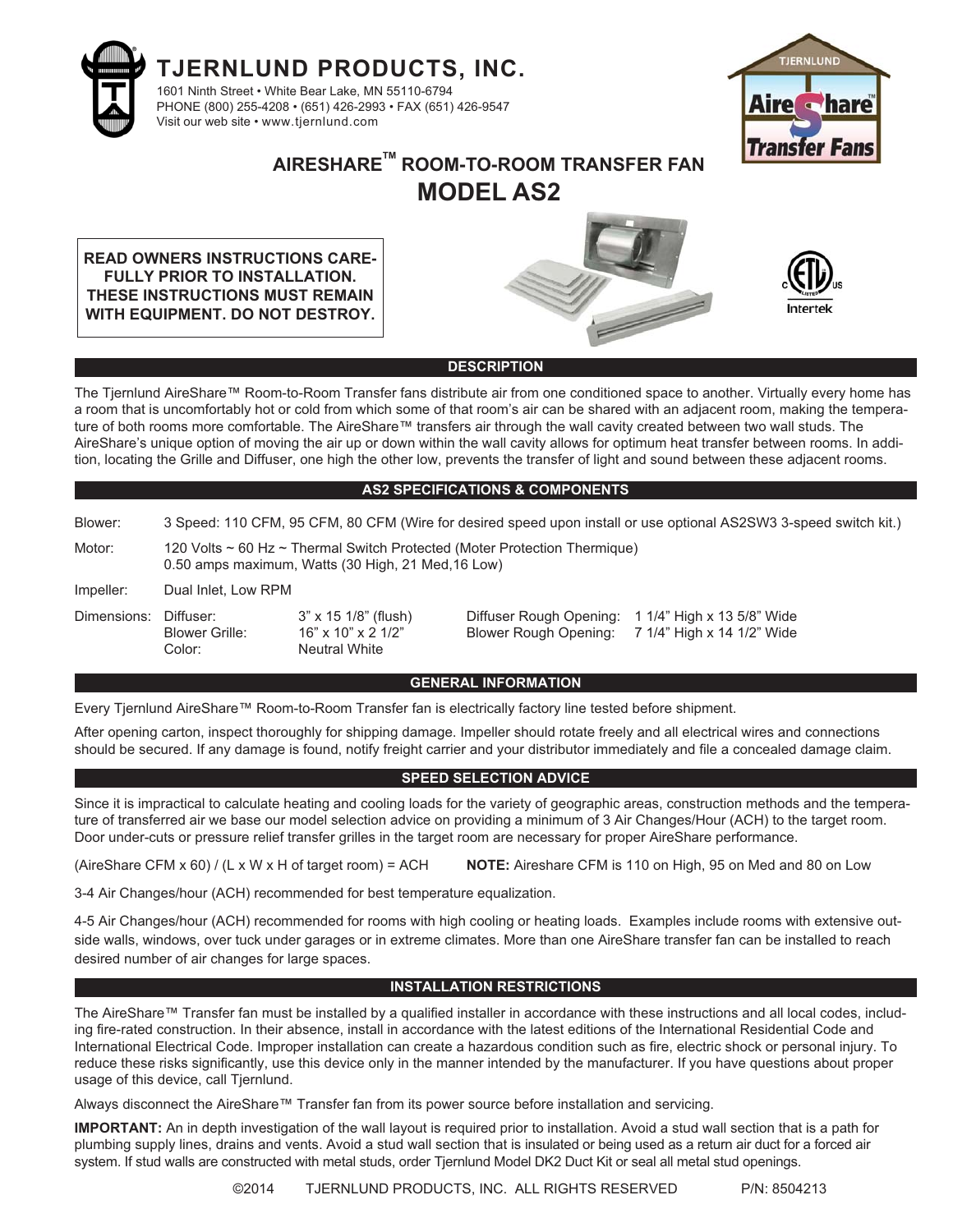



# **AIRESHARETM ROOM-TO-ROOM TRANSFER FAN MODEL AS2**

**READ OWNERS INSTRUCTIONS CARE-FULLY PRIOR TO INSTALLATION. THESE INSTRUCTIONS MUST REMAIN WITH EQUIPMENT. DO NOT DESTROY.**





#### **DESCRIPTION**

The Tjernlund AireShare™ Room-to-Room Transfer fans distribute air from one conditioned space to another. Virtually every home has a room that is uncomfortably hot or cold from which some of that room's air can be shared with an adjacent room, making the temperature of both rooms more comfortable. The AireShare™ transfers air through the wall cavity created between two wall studs. The AireShare's unique option of moving the air up or down within the wall cavity allows for optimum heat transfer between rooms. In addition, locating the Grille and Diffuser, one high the other low, prevents the transfer of light and sound between these adjacent rooms.

#### **AS2 SPECIFICATIONS & COMPONENTS**

Blower: 3 Speed: 110 CFM, 95 CFM, 80 CFM (Wire for desired speed upon install or use optional AS2SW3 3-speed switch kit.)

Motor: 120 Volts ~ 60 Hz ~ Thermal Switch Protected (Moter Protection Thermique) 0.50 amps maximum, Watts (30 High, 21 Med,16 Low)

Impeller: Dual Inlet, Low RPM

Color: Neutral White

Dimensions: Diffuser: 3" x 15 1/8" (flush) Diffuser Rough Opening: 1 1/4" High x 13 5/8" Wide Blower Grille: 16" x 10" x 2 1/2" Blower Rough Opening: 7 1/4" High x 14 1/2" Wide

#### **GENERAL INFORMATION**

Every Tjernlund AireShare™ Room-to-Room Transfer fan is electrically factory line tested before shipment.

After opening carton, inspect thoroughly for shipping damage. Impeller should rotate freely and all electrical wires and connections should be secured. If any damage is found, notify freight carrier and your distributor immediately and file a concealed damage claim.

#### **SPEED SELECTION ADVICE**

Since it is impractical to calculate heating and cooling loads for the variety of geographic areas, construction methods and the temperature of transferred air we base our model selection advice on providing a minimum of 3 Air Changes/Hour (ACH) to the target room. Door under-cuts or pressure relief transfer grilles in the target room are necessary for proper AireShare performance.

(AireShare CFM x 60) / (L x W x H of target room) = ACH **NOTE:** Aireshare CFM is 110 on High, 95 on Med and 80 on Low

3-4 Air Changes/hour (ACH) recommended for best temperature equalization.

4-5 Air Changes/hour (ACH) recommended for rooms with high cooling or heating loads. Examples include rooms with extensive outside walls, windows, over tuck under garages or in extreme climates. More than one AireShare transfer fan can be installed to reach desired number of air changes for large spaces.

#### **INSTALLATION RESTRICTIONS**

The AireShare™ Transfer fan must be installed by a qualified installer in accordance with these instructions and all local codes, including fire-rated construction. In their absence, install in accordance with the latest editions of the International Residential Code and International Electrical Code. Improper installation can create a hazardous condition such as fire, electric shock or personal injury. To reduce these risks significantly, use this device only in the manner intended by the manufacturer. If you have questions about proper usage of this device, call Tjernlund.

Always disconnect the AireShare™ Transfer fan from its power source before installation and servicing.

**IMPORTANT:** An in depth investigation of the wall layout is required prior to installation. Avoid a stud wall section that is a path for plumbing supply lines, drains and vents. Avoid a stud wall section that is insulated or being used as a return air duct for a forced air system. If stud walls are constructed with metal studs, order Tjernlund Model DK2 Duct Kit or seal all metal stud openings.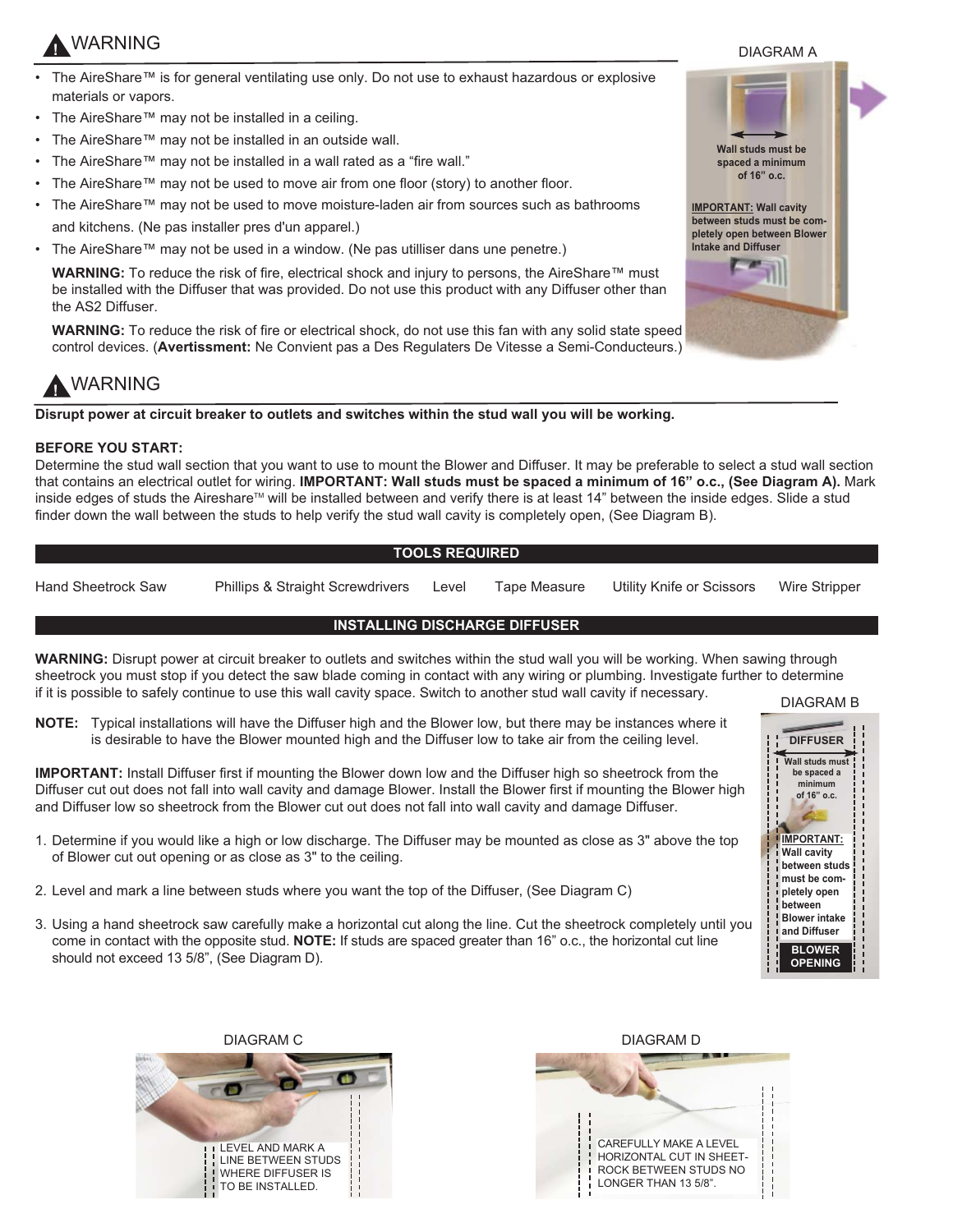# **!** WARNING

- The AireShare™ is for general ventilating use only. Do not use to exhaust hazardous or explosive materials or vapors.
- The AireShare™ may not be installed in a ceiling.
- The AireShare™ may not be installed in an outside wall.
- The AireShare™ may not be installed in a wall rated as a "fire wall."
- The AireShare™ may not be used to move air from one floor (story) to another floor.
- The AireShare™ may not be used to move moisture-laden air from sources such as bathrooms and kitchens. (Ne pas installer pres d'un apparel.)
- The AireShare™ may not be used in a window. (Ne pas utilliser dans une penetre.)

**WARNING:** To reduce the risk of fire, electrical shock and injury to persons, the AireShare™ must be installed with the Diffuser that was provided. Do not use this product with any Diffuser other than the AS2 Diffuser.

**WARNING:** To reduce the risk of fire or electrical shock, do not use this fan with any solid state speed control devices. (**Avertissment:** Ne Convient pas a Des Regulaters De Vitesse a Semi-Conducteurs.)

# **!** WARNING

**Disrupt power at circuit breaker to outlets and switches within the stud wall you will be working.** 

### **BEFORE YOU START:**

Determine the stud wall section that you want to use to mount the Blower and Diffuser. It may be preferable to select a stud wall section that contains an electrical outlet for wiring. **IMPORTANT: Wall studs must be spaced a minimum of 16" o.c., (See Diagram A).** Mark inside edges of studs the Aireshare™ will be installed between and verify there is at least 14" between the inside edges. Slide a stud finder down the wall between the studs to help verify the stud wall cavity is completely open, (See Diagram B).

### **TOOLS REQUIRED**

Hand Sheetrock Saw Phillips & Straight Screwdrivers Level Tape Measure Utility Knife or Scissors Wire Stripper

### **INSTALLING DISCHARGE DIFFUSER**

**WARNING:** Disrupt power at circuit breaker to outlets and switches within the stud wall you will be working. When sawing through sheetrock you must stop if you detect the saw blade coming in contact with any wiring or plumbing. Investigate further to determine if it is possible to safely continue to use this wall cavity space. Switch to another stud wall cavity if necessary.

**NOTE:** Typical installations will have the Diffuser high and the Blower low, but there may be instances where it is desirable to have the Blower mounted high and the Diffuser low to take air from the ceiling level.

**IMPORTANT:** Install Diffuser first if mounting the Blower down low and the Diffuser high so sheetrock from the Diffuser cut out does not fall into wall cavity and damage Blower. Install the Blower first if mounting the Blower high and Diffuser low so sheetrock from the Blower cut out does not fall into wall cavity and damage Diffuser.

- 1. Determine if you would like a high or low discharge. The Diffuser may be mounted as close as 3" above the top of Blower cut out opening or as close as 3" to the ceiling.
- 2. Level and mark a line between studs where you want the top of the Diffuser, (See Diagram C)
- 3. Using a hand sheetrock saw carefully make a horizontal cut along the line. Cut the sheetrock completely until you come in contact with the opposite stud. **NOTE:** If studs are spaced greater than 16" o.c., the horizontal cut line should not exceed 13 5/8", (See Diagram D).



**BLOWER OPENING**

**between Blower intake and Diffuser**





DIAGRAM A

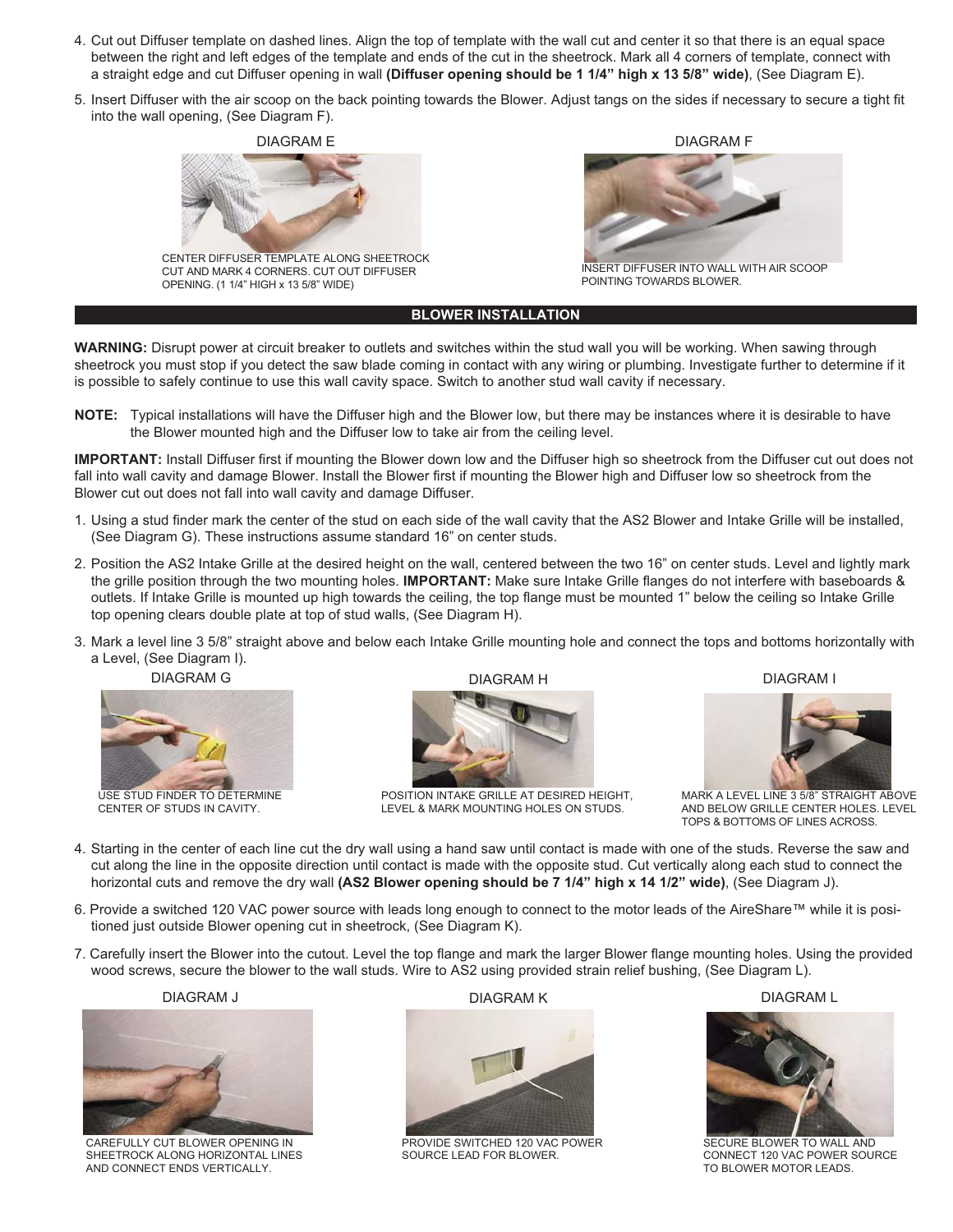- 4. Cut out Diffuser template on dashed lines. Align the top of template with the wall cut and center it so that there is an equal space between the right and left edges of the template and ends of the cut in the sheetrock. Mark all 4 corners of template, connect with a straight edge and cut Diffuser opening in wall **(Diffuser opening should be 1 1/4" high x 13 5/8" wide)**, (See Diagram E).
- 5. Insert Diffuser with the air scoop on the back pointing towards the Blower. Adjust tangs on the sides if necessary to secure a tight fit into the wall opening, (See Diagram F).



CENTER DIFFUSER TEMPLATE ALONG SHEETROCK CUT AND MARK 4 CORNERS. CUT OUT DIFFUSER OPENING. (1 1/4" HIGH x 13 5/8" WIDE)



INSERT DIFFUSER INTO WALL WITH AIR SCOOP POINTING TOWARDS BLOWER.

#### **BLOWER INSTALLATION**

**WARNING:** Disrupt power at circuit breaker to outlets and switches within the stud wall you will be working. When sawing through sheetrock you must stop if you detect the saw blade coming in contact with any wiring or plumbing. Investigate further to determine if it is possible to safely continue to use this wall cavity space. Switch to another stud wall cavity if necessary.

**NOTE:** Typical installations will have the Diffuser high and the Blower low, but there may be instances where it is desirable to have the Blower mounted high and the Diffuser low to take air from the ceiling level.

**IMPORTANT:** Install Diffuser first if mounting the Blower down low and the Diffuser high so sheetrock from the Diffuser cut out does not fall into wall cavity and damage Blower. Install the Blower first if mounting the Blower high and Diffuser low so sheetrock from the Blower cut out does not fall into wall cavity and damage Diffuser.

- 1. Using a stud finder mark the center of the stud on each side of the wall cavity that the AS2 Blower and Intake Grille will be installed, (See Diagram G). These instructions assume standard 16" on center studs.
- 2. Position the AS2 Intake Grille at the desired height on the wall, centered between the two 16" on center studs. Level and lightly mark the grille position through the two mounting holes. **IMPORTANT:** Make sure Intake Grille flanges do not interfere with baseboards & outlets. If Intake Grille is mounted up high towards the ceiling, the top flange must be mounted 1" below the ceiling so Intake Grille top opening clears double plate at top of stud walls, (See Diagram H).
- 3. Mark a level line 3 5/8" straight above and below each Intake Grille mounting hole and connect the tops and bottoms horizontally with a Level, (See Diagram I).





CENTER OF STUDS IN CAVITY.





POSITION INTAKE GRILLE AT DESIRED HEIGHT, LEVEL & MARK MOUNTING HOLES ON STUDS.

DIAGRAM I



MARK A LEVEL LINE 3 5/8" STRAIGHT ABOVE AND BELOW GRILLE CENTER HOLES. LEVEL TOPS & BOTTOMS OF LINES ACROSS.

- 4. Starting in the center of each line cut the dry wall using a hand saw until contact is made with one of the studs. Reverse the saw and cut along the line in the opposite direction until contact is made with the opposite stud. Cut vertically along each stud to connect the horizontal cuts and remove the dry wall **(AS2 Blower opening should be 7 1/4" high x 14 1/2" wide)**, (See Diagram J).
- 6. Provide a switched 120 VAC power source with leads long enough to connect to the motor leads of the AireShare™ while it is positioned just outside Blower opening cut in sheetrock, (See Diagram K).
- 7. Carefully insert the Blower into the cutout. Level the top flange and mark the larger Blower flange mounting holes. Using the provided wood screws, secure the blower to the wall studs. Wire to AS2 using provided strain relief bushing, (See Diagram L).

#### DIAGRAM J



CAREFULLY CUT BLOWER OPENING IN SHEETROCK ALONG HORIZONTAL LINES AND CONNECT ENDS VERTICALLY.

DIAGRAM K



PROVIDE SWITCHED 120 VAC POWER SOURCE LEAD FOR BLOWER.

DIAGRAM L



SECURE BLOWER TO WALL AND CONNECT 120 VAC POWER SOURCE TO BLOWER MOTOR LEADS.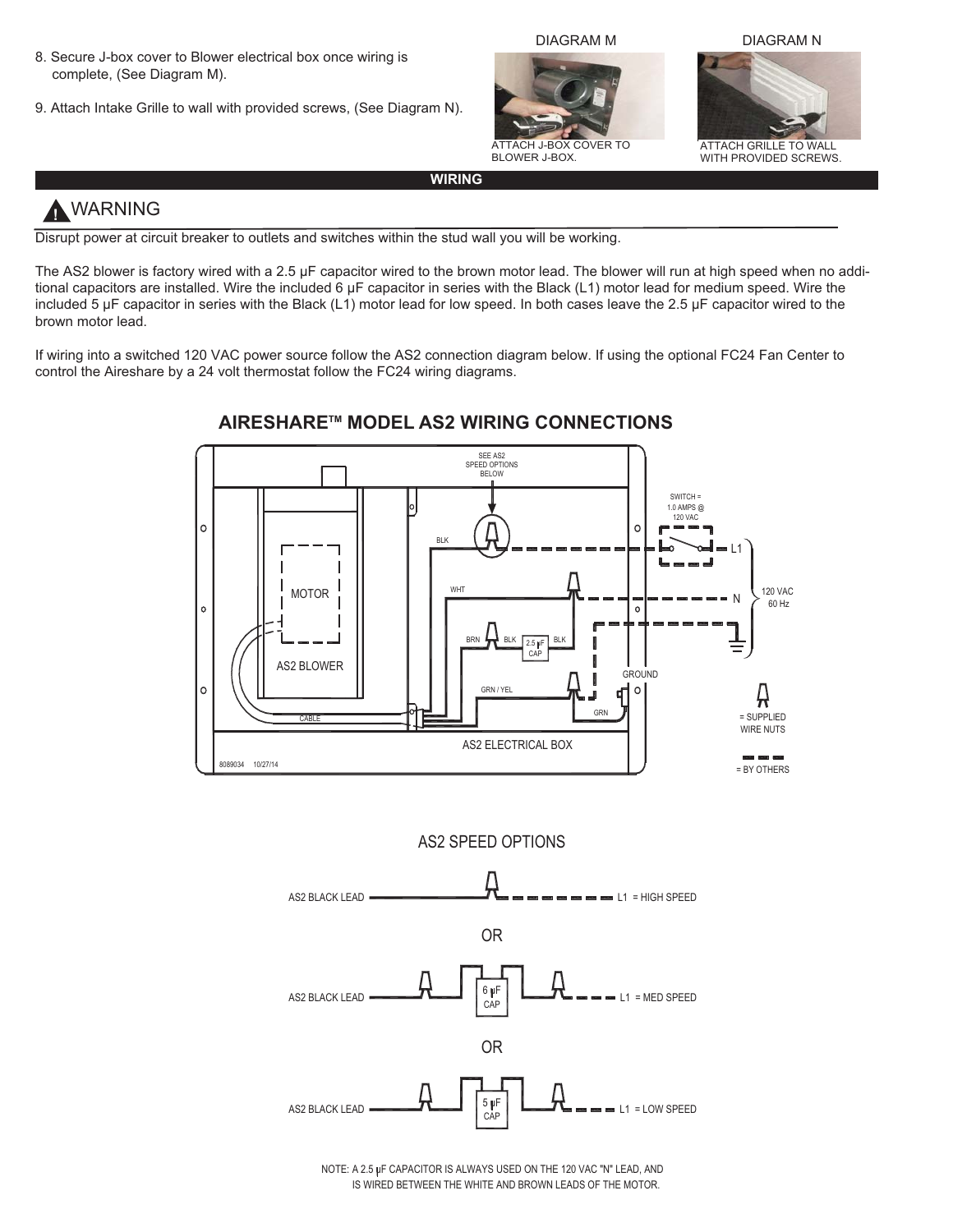- 8. Secure J-box cover to Blower electrical box once wiring is complete, (See Diagram M).
- 9. Attach Intake Grille to wall with provided screws, (See Diagram N).



ATTACH J-BOX COVER TO BLOWER J-BOX.





ATTACH GRILLE TO WALL WITH PROVIDED SCREWS.

#### **WIRING**

# **!** WARNING

Disrupt power at circuit breaker to outlets and switches within the stud wall you will be working.

The AS2 blower is factory wired with a 2.5 µF capacitor wired to the brown motor lead. The blower will run at high speed when no additional capacitors are installed. Wire the included 6  $\mu$ F capacitor in series with the Black (L1) motor lead for medium speed. Wire the included 5 µF capacitor in series with the Black (L1) motor lead for low speed. In both cases leave the 2.5 µF capacitor wired to the brown motor lead.

If wiring into a switched 120 VAC power source follow the AS2 connection diagram below. If using the optional FC24 Fan Center to control the Aireshare by a 24 volt thermostat follow the FC24 wiring diagrams.



### **AIRESHARETM MODEL AS2 WIRING CONNECTIONS**

AS2 SPEED OPTIONS



IS WIRED BETWEEN THE WHITE AND BROWN LEADS OF THE MOTOR. NOTE: A 2.5 uF CAPACITOR IS ALWAYS USED ON THE 120 VAC "N" LEAD, AND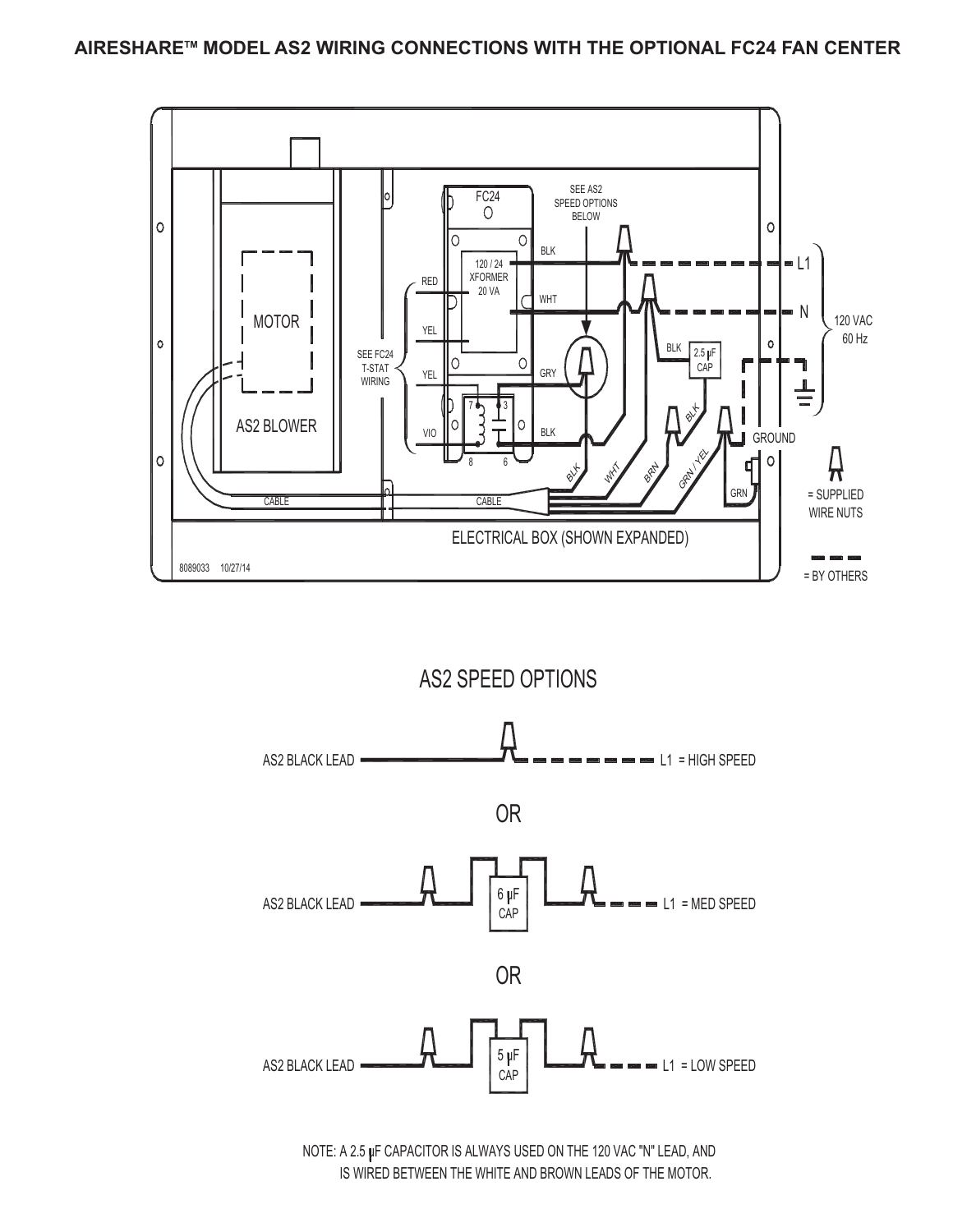



NOTE: A 2.5 µF CAPACITOR IS ALWAYS USED ON THE 120 VAC "N" LEAD, AND IS WIRED BETWEEN THE WHITE AND BROWN LEADS OF THE MOTOR.